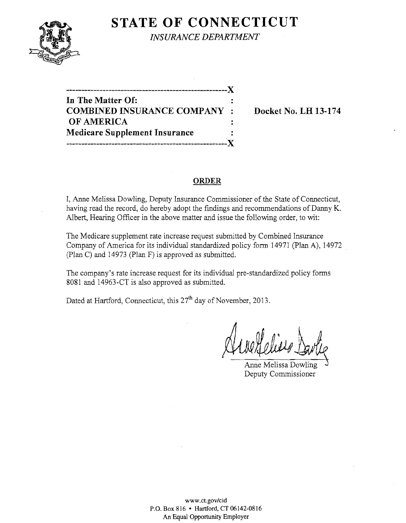## **STATE OF CONNECTICUT**



*INSURANCE DEPARTMENT* 

**-----------------------------------------------------)( In The Matter Of:**<br> **COMBINED INSURANCE COMPANY** : Docket No. LH 13-174 **OF AMERICA Medicare Supplement Insurance -----------------------------------------------------)(** 

**Docket No. LH 13-174** 

#### **ORDER**

I, Anne Melissa Dowling, Deputy Insurance Commissioner of the State of Connecticut, having read the record, do hereby adopt the findings and recommendations of Danny K. Albert, Hearing Officer in the above matter and issue the following order, to wit:

The Medicare supplement rate increase request submitted by Combined Insurance Company of America for its individual standardized policy form 14971 (plan A), 14972 (plan C) and 14973 (Plan F) is approved as submitted.

The company's rate increase request for its individual pre-standardized policy forms 8081 and 14963-CT is also approved as submitted.

Dated at Hartford, Connecticut, this 27<sup>th</sup> day of November, 2013.

Anne Melissa Dowling Deputy Commissioner

www.ct.gov/cid P.O. Box 816 • Hartford, CT 06142-0816 An Equal Opportunity Employer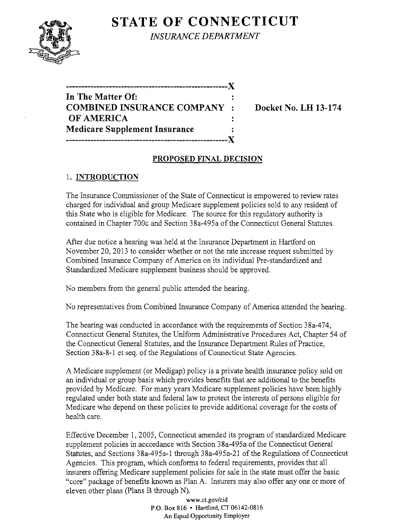# **STATE OF CONNECTICUT**



*INSURANCE DEPARTMENT* 

**In The** Matter Of: **COMBINED INSURANCE COMPANY : Docket No. LH 13-174 OF AMERICA Medicare Supplement Insurance -----------------------------------------------------)(** 

**-----------------------------------------------------)(** 

### **PROPOSED FINAL DECISION**

## 1. **INTRODUCTION**

The Insurance Commissioner of the State of Connecticut is empowered to review rates charged for individual and group Medicare supplement policies sold to any resident of this State who is eligible for Medicare. The source for this regulatory authority is contained in Chapter 700c and Section 38a-495a of the Connecticut General Statutes.

After due notice a hearing was held at the Insurance Department in Hartford on November 20,2013 to consider whether or not the rate increase request submitted by Combined Insurance Company of America on its individual Pre-standardized and Standardized Medicare supplement business should be approved.

No members from the general public attended the hearing.

No representatives from Combined Insurance Company of America attended the hearing.

The hearing was conducted in accordance with the requirements of Section 38a-474, Connecticut General Statutes, the Uniform Administrative Procedures Act, Chapter 54 of the Connecticut General Statutes, and the Insurance Department Rules of Practice, Section 38a-8-l et seq. of the Regulations of Connecticut State Agencies.

A Medicare supplement (or Medigap) policy is a private health insurance policy sold on an individual or group basis which provides benefits that are additional to the benefits provided by Medicare. For many years Medicare supplement policies have been highly regulated under both state and federal law to protect the interests of persons eligible for Medicare who depend on these policies to provide additional coverage for the costs of health care.

Effective December 1, 2005, Connecticut amended its program of standardized Medicare supplement policies in accordance with Section 38a-495a of the Connecticut General Statutes, and Sections 38a-495a-1 through 38a-495a-21 of the Regulations of Connecticut Agencies. This program, which conforms to federal requirements, provides that all insurers offering Medicare supplement policies for sale in the state must offer the basic "core" package of benefits known as Plan A. Insurers may also offer anyone or more of eleven other plans (plans B through N).

> www.ct.gov/cid P.O. Box 816 • Hartford, CT 06142-0816 An Equal Opportunity Employer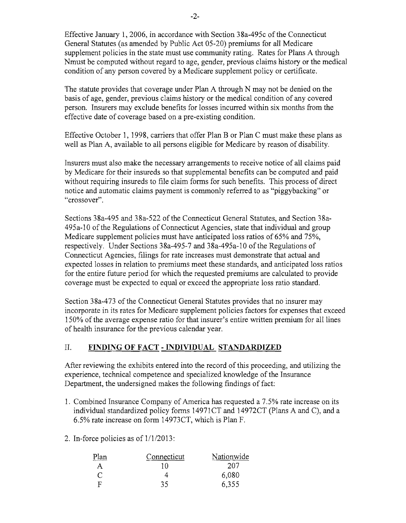Effective January 1,2006, in accordance with Section 38a-495c of the Connecticut General Statutes (as amended by Public Act 05-20) premiums for all Medicare supplement policies in the state must use community rating. Rates for Plans A through Nmust be computed without regard to age, gender, previous claims history or the medical condition of any person covered by a Medicare supplement policy or certificate.

The statute provides that coverage under Plan A through N may not be denied on the basis of age, gender, previous claims history or the medical condition of any covered person. Insurers may exclude benefits for losses incurred within six months from the effective date of coverage based on a pre-existing condition.

Effective October 1, 1998, carriers that offer Plan B or Plan C must make these plans as well as Plan A, available to all persons eligible for Medicare by reason of disability.

Insurers must also make the necessary arrangements to receive notice of all claims paid by Medicare for their insureds so that supplemental benefits can be computed and paid without requiring insureds to file claim forms for such benefits. This process of direct notice and automatic claims payment is commonly referred to as "piggybacking" or "crossover".

Sections 38a-495 and 38a-522 of the Connecticut General Statutes, and Section 38a-495a-l0 of the Regulations of Connecticut Agencies, state that individual and group Medicare supplement policies must have anticipated loss ratios of 65% and 75%, respectively. Under Sections 38a-495-7 and 38a-495a-l0 of the Regulations of Connecticut Agencies, filings for rate increases must demonstrate that actual and expected losses in relation to premiums meet these standards, and anticipated loss ratios for the entire future period for which the requested premiums are calculated to provide coverage must be expected to equal or exceed the appropriate loss ratio standard.

Section 38a-473 of the Connecticut General Statutes provides that no insurer may incorporate in its rates for Medicare supplement policies factors for expenses that exceed 150% of the average expense ratio for that insurer's entire written premium for all lines of health insurance for the previous calendar year.

## II. **FINDING OF FACT - INDIVIDUAL STANDARDIZED**

After reviewing the exhibits entered into the record of this proceeding, and utilizing the experience, technical competence and specialized knowledge of the Insurance Department, the undersigned makes the following findings of fact:

- 1. Combined Insurance Company of America has requested a 7.5% rate increase on its individual standardized policy forms 14971CT and 14972CT (Plans A and C), and a 6.5% rate increase on form 14973CT, which is Plan F.
- 2. In-force policies as of 1/1/2013:

| Plan | Connecticut | Nationwide |
|------|-------------|------------|
| А    | ר י         | 207        |
|      |             | 6,080      |
| 耳    | 35          | 6,355      |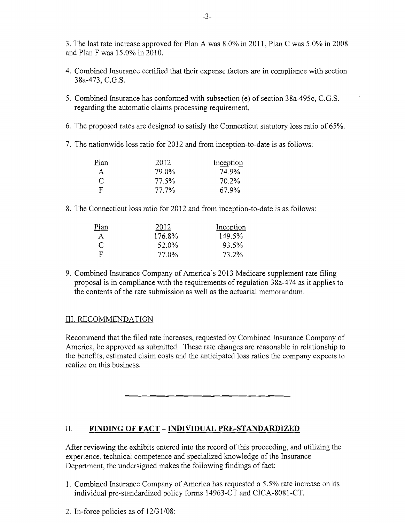3. The last rate increase approved for Plan A was 8.0% in 2011, Plan C was 5.0% in 2008 and Plan F was 15.0% in 2010.

- 4. Combined Insurance certified that their expense factors are in compliance with section 38a-473, C.G.S.
- 5. Combined Insurance has conformed with subsection (e) of section 38a-495c, C.G.S. regarding the automatic claims processing requirement.
- 6. The proposed rates are designed to satisfy the Connecticut statutory loss ratio of 65%.
- 7. The nationwide loss ratio for 2012 and from inception-to-date is as follows:

| Plan         | 2012  | Inception |
|--------------|-------|-----------|
| $\mathsf{A}$ | 79.0% | 74.9%     |
| C            | 77.5% | 70.2%     |
| - F          | 77.7% | 67.9%     |

8. The Connecticut loss ratio for 2012 and from inception-to-date is as follows:

| Plan | 2012   | Inception |
|------|--------|-----------|
| A    | 176.8% | 149.5%    |
| C    | 52.0%  | 93.5%     |
| F    | 77.0%  | 73.2%     |

9. Combined Insurance Company of America's 2013 Medicare supplement rate filing proposal is in compliance with the requirements of regulation 38a-474 as it applies to the contents of the rate submission as well as the actuarial memorandum.

## III. RECOMMENDATION

Recommend that the filed rate increases, requested by Combined Insurance Company of America, be approved as submitted. These rate changes are reasonable in relationship to the benefits, estimated claim costs and the anticipated loss ratios the company expects to realize on this business.

## II. **FINDING OF FACT - INDIVIDUAL PRE-STANDARDIZED**

After reviewing the exhibits entered into the record of this proceeding, and utilizing the experience, technical competence and specialized knowledge of the Insurance Department, the undersigned makes the following findings of fact:

- 1. Combined Insurance Company of America has requested a 5.5% rate increase on its individual pre-standardized policy forms 14963-CT and CICA-8081-CT.
- 2. In-force policies as of 12/31/08: